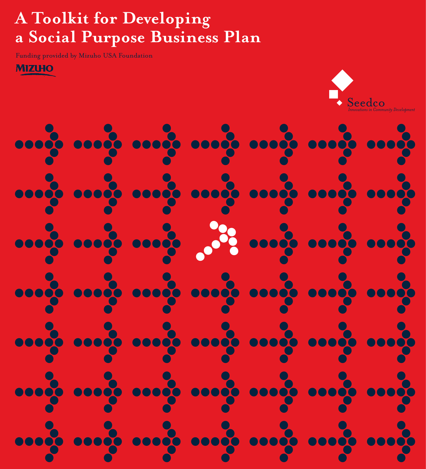# **A Toolkit for Developing a Social Purpose Business Plan**

Funding provided by Mizuho USA Foundation

**MIZUHO** 



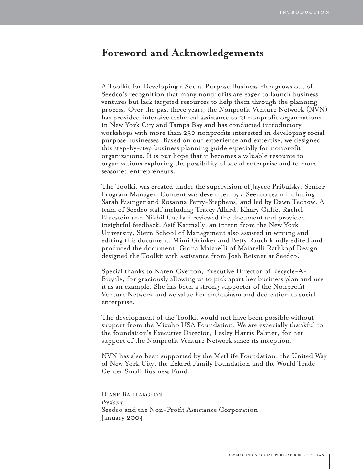## **Foreword and Acknowledgements**

A Toolkit for Developing a Social Purpose Business Plan grows out of Seedco's recognition that many nonprofits are eager to launch business ventures but lack targeted resources to help them through the planning process. Over the past three years, the Nonprofit Venture Network (NVN) has provided intensive technical assistance to 21 nonprofit organizations in New York City and Tampa Bay and has conducted introductory workshops with more than 250 nonprofits interested in developing social purpose businesses. Based on our experience and expertise, we designed this step-by-step business planning guide especially for nonprofit organizations. It is our hope that it becomes a valuable resource to organizations exploring the possibility of social enterprise and to more seasoned entrepreneurs.

The Toolkit was created under the supervision of Jaycee Pribulsky, Senior Program Manager. Content was developed by a Seedco team including Sarah Eisinger and Rosanna Perry-Stephens, and led by Dawn Techow. A team of Seedco staff including Tracey Allard, Khary Cuffe, Rachel Bluestein and Nikhil Gadkari reviewed the document and provided insightful feedback. Asif Karmally, an intern from the New York University, Stern School of Management also assisted in writing and editing this document. Mimi Grinker and Betty Rauch kindly edited and produced the document. Giona Maiarelli of Maiarelli Rathkopf Design designed the Toolkit with assistance from Josh Reisner at Seedco.

Special thanks to Karen Overton, Executive Director of Recycle-A-Bicycle, for graciously allowing us to pick apart her business plan and use it as an example. She has been a strong supporter of the Nonprofit Venture Network and we value her enthusiasm and dedication to social enterprise.

The development of the Toolkit would not have been possible without support from the Mizuho USA Foundation. We are especially thankful to the foundation's Executive Director, Lesley Harris Palmer, for her support of the Nonprofit Venture Network since its inception.

NVN has also been supported by the MetLife Foundation, the United Way of New York City, the Eckerd Family Foundation and the World Trade Center Small Business Fund.

DIANE BAILLARGEON *President* Seedco and the Non-Profit Assistance Corporation January 2004

i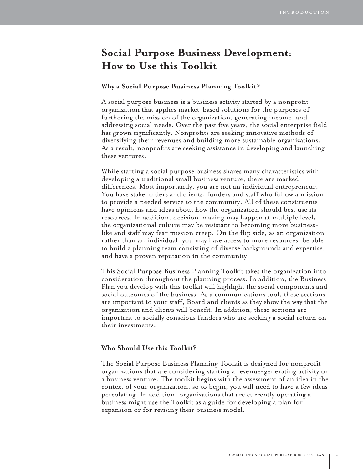## **Social Purpose Business Development: How to Use this Toolkit**

#### **Why a Social Purpose Business Planning Toolkit?**

A social purpose business is a business activity started by a nonprofit organization that applies market-based solutions for the purposes of furthering the mission of the organization, generating income, and addressing social needs. Over the past five years, the social enterprise field has grown significantly. Nonprofits are seeking innovative methods of diversifying their revenues and building more sustainable organizations. As a result, nonprofits are seeking assistance in developing and launching these ventures.

While starting a social purpose business shares many characteristics with developing a traditional small business venture, there are marked differences. Most importantly, you are not an individual entrepreneur. You have stakeholders and clients, funders and staff who follow a mission to provide a needed service to the community. All of these constituents have opinions and ideas about how the organization should best use its resources. In addition, decision-making may happen at multiple levels, the organizational culture may be resistant to becoming more businesslike and staff may fear mission creep. On the flip side, as an organization rather than an individual, you may have access to more resources, be able to build a planning team consisting of diverse backgrounds and expertise, and have a proven reputation in the community.

This Social Purpose Business Planning Toolkit takes the organization into consideration throughout the planning process. In addition, the Business Plan you develop with this toolkit will highlight the social components and social outcomes of the business. As a communications tool, these sections are important to your staff, Board and clients as they show the way that the organization and clients will benefit. In addition, these sections are important to socially conscious funders who are seeking a social return on their investments.

#### **Who Should Use this Toolkit?**

The Social Purpose Business Planning Toolkit is designed for nonprofit organizations that are considering starting a revenue-generating activity or a business venture. The toolkit begins with the assessment of an idea in the context of your organization, so to begin, you will need to have a few ideas percolating. In addition, organizations that are currently operating a business might use the Toolkit as a guide for developing a plan for expansion or for revising their business model.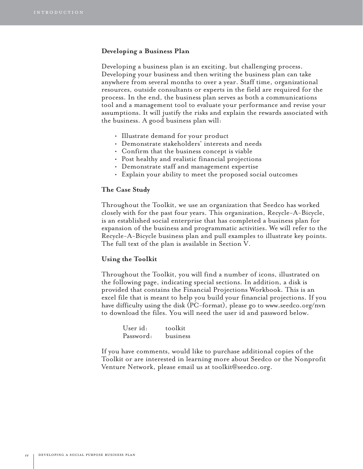#### **Developing a Business Plan**

Developing a business plan is an exciting, but challenging process. Developing your business and then writing the business plan can take anywhere from several months to over a year. Staff time, organizational resources, outside consultants or experts in the field are required for the process. In the end, the business plan serves as both a communications tool and a management tool to evaluate your performance and revise your assumptions. It will justify the risks and explain the rewards associated with the business. A good business plan will:

- Illustrate demand for your product
- Demonstrate stakeholders' interests and needs
- Confirm that the business concept is viable
- Post healthy and realistic financial projections
- Demonstrate staff and management expertise
- Explain your ability to meet the proposed social outcomes

#### **The Case Study**

Throughout the Toolkit, we use an organization that Seedco has worked closely with for the past four years. This organization, Recycle-A-Bicycle, is an established social enterprise that has completed a business plan for expansion of the business and programmatic activities. We will refer to the Recycle-A-Bicycle business plan and pull examples to illustrate key points. The full text of the plan is available in Section V.

#### **Using the Toolkit**

Throughout the Toolkit, you will find a number of icons, illustrated on the following page, indicating special sections. In addition, a disk is provided that contains the Financial Projections Workbook. This is an excel file that is meant to help you build your financial projections. If you have difficulty using the disk (PC-format), please go to www.seedco.org/nvn to download the files. You will need the user id and password below.

| User id:  | toolkit  |
|-----------|----------|
| Password: | business |

If you have comments, would like to purchase additional copies of the Toolkit or are interested in learning more about Seedco or the Nonprofit Venture Network, please email us at toolkit@seedco.org.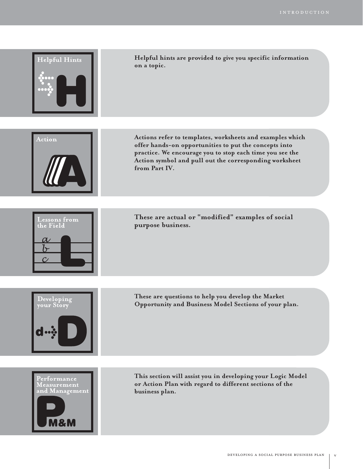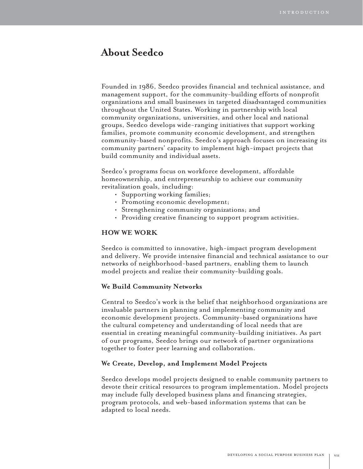## **About Seedco**

Founded in 1986, Seedco provides financial and technical assistance, and management support, for the community-building efforts of nonprofit organizations and small businesses in targeted disadvantaged communities throughout the United States. Working in partnership with local community organizations, universities, and other local and national groups, Seedco develops wide-ranging initiatives that support working families, promote community economic development, and strengthen community-based nonprofits. Seedco's approach focuses on increasing its community partners' capacity to implement high-impact projects that build community and individual assets.

Seedco's programs focus on workforce development, affordable homeownership, and entrepreneurship to achieve our community revitalization goals, including:

- Supporting working families;
- Promoting economic development;
- Strengthening community organizations; and
- Providing creative financing to support program activities.

#### **HOW WE WORK**

Seedco is committed to innovative, high-impact program development and delivery. We provide intensive financial and technical assistance to our networks of neighborhood-based partners, enabling them to launch model projects and realize their community-building goals.

#### **We Build Community Networks**

Central to Seedco's work is the belief that neighborhood organizations are invaluable partners in planning and implementing community and economic development projects. Community-based organizations have the cultural competency and understanding of local needs that are essential in creating meaningful community-building initiatives. As part of our programs, Seedco brings our network of partner organizations together to foster peer learning and collaboration.

#### **We Create, Develop, and Implement Model Projects**

Seedco develops model projects designed to enable community partners to devote their critical resources to program implementation. Model projects may include fully developed business plans and financing strategies, program protocols, and web-based information systems that can be adapted to local needs.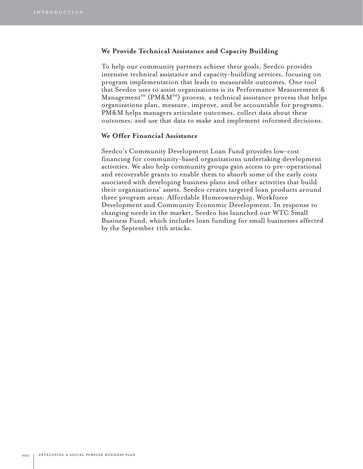#### **We Provide Technical Assistance and Capacity Building**

To help our community partners achieve their goals, Seedco provides intensive technical assistance and capacity-building services, focusing on program implementation that leads to measurable outcomes. One tool that Seedco uses to assist organizations is its Performance Measurement &  $M$ anagement<sup>SM</sup> (PM&M<sup>SM</sup>) process, a technical assistance process that helps organizations plan, measure, improve, and be accountable for programs. PM&M helps managers articulate outcomes, collect data about these outcomes, and use that data to make and implement informed decisions.

#### **We Offer Financial Assistance**

Seedco's Community Development Loan Fund provides low-cost financing for community-based organizations undertaking development activities. We also help community groups gain access to pre-operational and recoverable grants to enable them to absorb some of the early costs associated with developing business plans and other activities that build their organizations' assets. Seedco creates targeted loan products around three program areas: Affordable Homeownership, Workforce Development and Community Economic Development. In response to changing needs in the market, Seedco has launched our WTC Small Business Fund, which includes loan funding for small businesses affected by the September 11th attacks.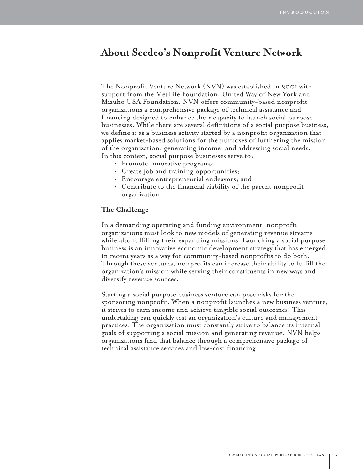## **About Seedco's Nonprofit Venture Network**

The Nonprofit Venture Network (NVN) was established in 2001 with support from the MetLife Foundation, United Way of New York and Mizuho USA Foundation. NVN offers community-based nonprofit organizations a comprehensive package of technical assistance and financing designed to enhance their capacity to launch social purpose businesses. While there are several definitions of a social purpose business, we define it as a business activity started by a nonprofit organization that applies market-based solutions for the purposes of furthering the mission of the organization, generating income, and addressing social needs. In this context, social purpose businesses serve to:

- Promote innovative programs;
- Create job and training opportunities;
- Encourage entrepreneurial endeavors; and,
- Contribute to the financial viability of the parent nonprofit organization.

#### **The Challenge**

In a demanding operating and funding environment, nonprofit organizations must look to new models of generating revenue streams while also fulfilling their expanding missions. Launching a social purpose business is an innovative economic development strategy that has emerged in recent years as a way for community-based nonprofits to do both. Through these ventures, nonprofits can increase their ability to fulfill the organization's mission while serving their constituents in new ways and diversify revenue sources.

Starting a social purpose business venture can pose risks for the sponsoring nonprofit. When a nonprofit launches a new business venture, it strives to earn income and achieve tangible social outcomes. This undertaking can quickly test an organization's culture and management practices. The organization must constantly strive to balance its internal goals of supporting a social mission and generating revenue. NVN helps organizations find that balance through a comprehensive package of technical assistance services and low-cost financing.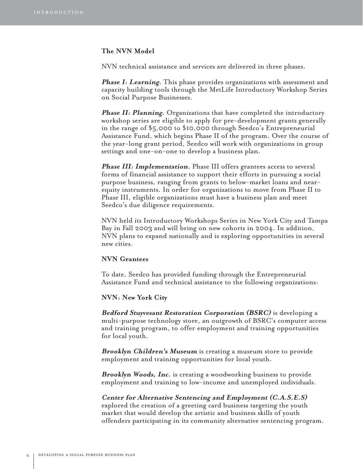#### **The NVN Model**

NVN technical assistance and services are delivered in three phases.

**Phase I: Learning.** This phase provides organizations with assessment and capacity building tools through the MetLife Introductory Workshop Series on Social Purpose Businesses.

**Phase II: Planning.** Organizations that have completed the introductory workshop series are eligible to apply for pre-development grants generally in the range of \$5,000 to \$10,000 through Seedco's Entrepreneurial Assistance Fund, which begins Phase II of the program. Over the course of the year-long grant period, Seedco will work with organizations in group settings and one-on-one to develop a business plan.

**Phase III: Implementation.** Phase III offers grantees access to several forms of financial assistance to support their efforts in pursuing a social purpose business, ranging from grants to below-market loans and nearequity instruments. In order for organizations to move from Phase II to Phase III, eligible organizations must have a business plan and meet Seedco's due diligence requirements.

NVN held its Introductory Workshops Series in New York City and Tampa Bay in Fall 2003 and will bring on new cohorts in 2004. In addition, NVN plans to expand nationally and is exploring opportunities in several new cities.

#### **NVN Grantees**

To date, Seedco has provided funding through the Entrepreneurial Assistance Fund and technical assistance to the following organizations:

**NVN: New York City** 

**Bedford Stuyvesant Restoration Corporation (BSRC)** is developing a multi-purpose technology store, an outgrowth of BSRC's computer access and training program, to offer employment and training opportunities for local youth.

**Brooklyn Children's Museum** is creating a museum store to provide employment and training opportunities for local youth.

**Brooklyn Woods, Inc.** is creating a woodworking business to provide employment and training to low-income and unemployed individuals.

**Center for Alternative Sentencing and Employment (C.A.S.E.S)** explored the creation of a greeting card business targeting the youth market that would develop the artistic and business skills of youth offenders participating in its community alternative sentencing program.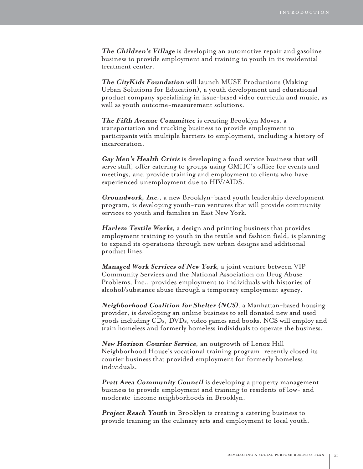**The Children's Village** is developing an automotive repair and gasoline business to provide employment and training to youth in its residential treatment center.

**The CityKids Foundation** will launch MUSE Productions (Making Urban Solutions for Education), a youth development and educational product company specializing in issue-based video curricula and music, as well as youth outcome-measurement solutions.

**The Fifth Avenue Committee** is creating Brooklyn Moves, a transportation and trucking business to provide employment to participants with multiple barriers to employment, including a history of incarceration.

**Gay Men's Health Crisis** is developing a food service business that will serve staff, offer catering to groups using GMHC's office for events and meetings, and provide training and employment to clients who have experienced unemployment due to HIV/AIDS.

**Groundwork, Inc.**, a new Brooklyn-based youth leadership development program, is developing youth-run ventures that will provide community services to youth and families in East New York.

**Harlem Textile Works**, a design and printing business that provides employment training to youth in the textile and fashion field, is planning to expand its operations through new urban designs and additional product lines.

**Managed Work Services of New York**, a joint venture between VIP Community Services and the National Association on Drug Abuse Problems, Inc., provides employment to individuals with histories of alcohol/substance abuse through a temporary employment agency.

**Neighborhood Coalition for Shelter (NCS)**, a Manhattan-based housing provider, is developing an online business to sell donated new and used goods including CDs, DVDs, video games and books. NCS will employ and train homeless and formerly homeless individuals to operate the business.

**New Horizon Courier Service**, an outgrowth of Lenox Hill Neighborhood House's vocational training program, recently closed its courier business that provided employment for formerly homeless individuals.

Pratt Area Community Council is developing a property management business to provide employment and training to residents of low- and moderate-income neighborhoods in Brooklyn.

**Project Reach Youth** in Brooklyn is creating a catering business to provide training in the culinary arts and employment to local youth.